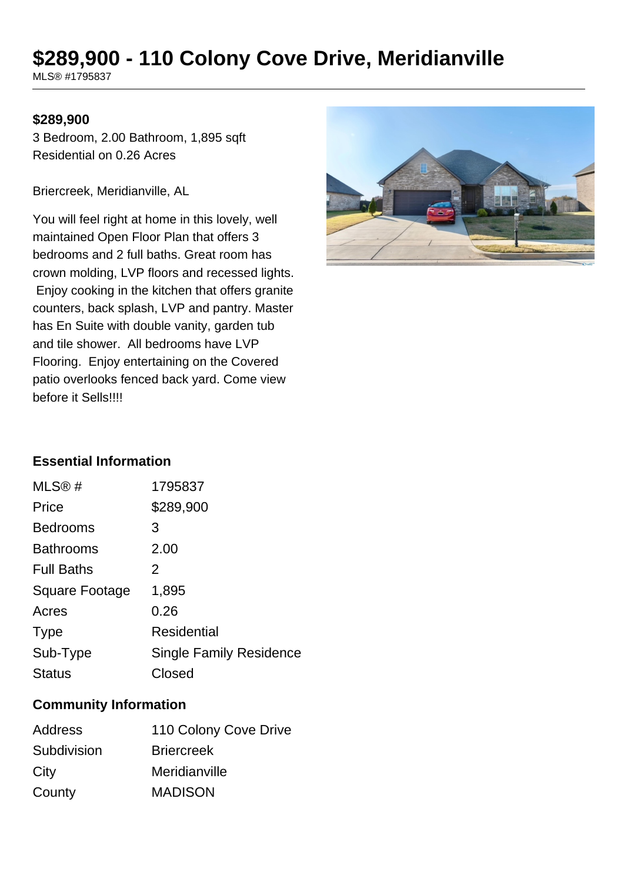# **\$289,900 - 110 Colony Cove Drive, Meridianville**

MLS® #1795837

#### **\$289,900**

3 Bedroom, 2.00 Bathroom, 1,895 sqft Residential on 0.26 Acres

Briercreek, Meridianville, AL

You will feel right at home in this lovely, well maintained Open Floor Plan that offers 3 bedrooms and 2 full baths. Great room has crown molding, LVP floors and recessed lights. Enjoy cooking in the kitchen that offers granite counters, back splash, LVP and pantry. Master has En Suite with double vanity, garden tub and tile shower. All bedrooms have LVP Flooring. Enjoy entertaining on the Covered patio overlooks fenced back yard. Come view before it Sells!!!!



#### **Essential Information**

| MLS@#             | 1795837                        |
|-------------------|--------------------------------|
| Price             | \$289,900                      |
| <b>Bedrooms</b>   | 3                              |
| <b>Bathrooms</b>  | 2.00                           |
| <b>Full Baths</b> | 2                              |
| Square Footage    | 1,895                          |
| Acres             | 0.26                           |
| <b>Type</b>       | Residential                    |
| Sub-Type          | <b>Single Family Residence</b> |
| <b>Status</b>     | Closed                         |
|                   |                                |

### **Community Information**

| <b>Address</b> | 110 Colony Cove Drive |
|----------------|-----------------------|
| Subdivision    | <b>Briercreek</b>     |
| City           | Meridianville         |
| County         | <b>MADISON</b>        |